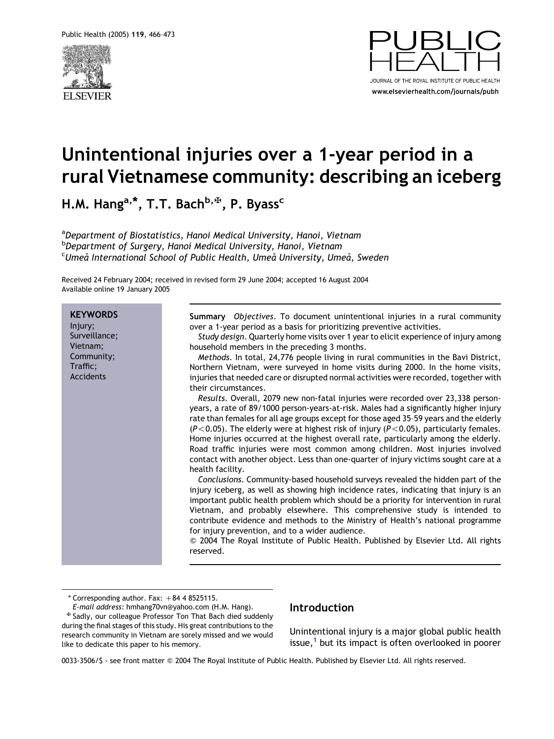



# Unintentional injuries over a 1-year period in a rural Vietnamese community: describing an iceberg

H.M. Hang<sup>a,\*</sup>, T.T. Bach<sup>b, $\mathbb{F}$ , P. Byass<sup>c</sup></sup>

<sup>a</sup>Department of Biostatistics, Hanoi Medical University, Hanoi, Vietnam <sup>b</sup>Department of Surgery, Hanoi Medical University, Hanoi, Vietnam <sup>c</sup>Umeå International School of Public Health, Umeå University, Umeå, Sweden

Received 24 February 2004; received in revised form 29 June 2004; accepted 16 August 2004 Available online 19 January 2005

**KEYWORDS** Injury; Surveillance; Vietnam; Community; Traffic; Accidents Summary Objectives. To document unintentional injuries in a rural community over a 1-year period as a basis for prioritizing preventive activities. Study design. Quarterly home visits over 1 year to elicit experience of injury among household members in the preceding 3 months. Methods. In total, 24,776 people living in rural communities in the Bavi District, Northern Vietnam, were surveyed in home visits during 2000. In the home visits, injuries that needed care or disrupted normal activities were recorded, together with their circumstances. Results. Overall, 2079 new non-fatal injuries were recorded over 23,338 personyears, a rate of 89/1000 person-years-at-risk. Males had a significantly higher injury rate than females for all age groups except for those aged 35–59 years and the elderly  $(P<0.05)$ . The elderly were at highest risk of injury (P $<$ 0.05), particularly females. Home injuries occurred at the highest overall rate, particularly among the elderly. Road traffic injuries were most common among children. Most injuries involved contact with another object. Less than one-quarter of injury victims sought care at a health facility. Conclusions. Community-based household surveys revealed the hidden part of the injury iceberg, as well as showing high incidence rates, indicating that injury is an important public health problem which should be a priority for intervention in rural Vietnam, and probably elsewhere. This comprehensive study is intended to contribute evidence and methods to the Ministry of Health's national programme for injury prevention, and to a wider audience. Q 2004 The Royal Institute of Public Health. Published by Elsevier Ltd. All rights reserved.

 $*$  Corresponding author. Fax:  $+84$  4 8525115.

E-mail address: hmhang70vn@yahoo.com (H.M. Hang).<br><sup>អ្</sup> Sadly, our colleague Professor Ton That Bach died suddenly during the final stages of this study. His great contributions to the research community in Vietnam are sorely missed and we would like to dedicate this paper to his memory.

## Introduction

Unintentional injury is a major global public health issue, $<sup>1</sup>$  $<sup>1</sup>$  $<sup>1</sup>$  but its impact is often overlooked in poorer</sup>

0033-3506/\$ - see front matter Q 2004 The Royal Institute of Public Health. Published by Elsevier Ltd. All rights reserved.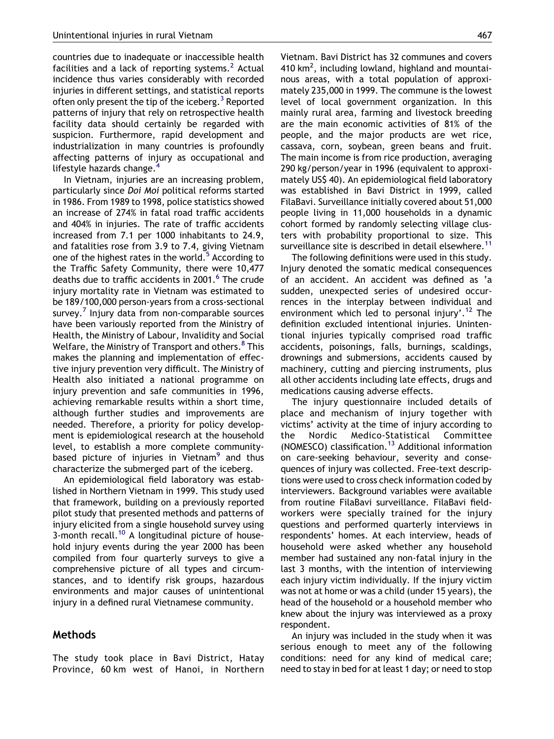countries due to inadequate or inaccessible health facilities and a lack of reporting systems. $<sup>2</sup>$  $<sup>2</sup>$  $<sup>2</sup>$  Actual</sup> incidence thus varies considerably with recorded injuries in different settings, and statistical reports often only present the tip of the iceberg.<sup>[3](#page-6-0)</sup> Reported patterns of injury that rely on retrospective health facility data should certainly be regarded with suspicion. Furthermore, rapid development and industrialization in many countries is profoundly affecting patterns of injury as occupational and lifestyle hazards change.[4](#page-6-0)

In Vietnam, injuries are an increasing problem, particularly since Doi Moi political reforms started in 1986. From 1989 to 1998, police statistics showed an increase of 274% in fatal road traffic accidents and 404% in injuries. The rate of traffic accidents increased from 7.1 per 1000 inhabitants to 24.9, and fatalities rose from 3.9 to 7.4, giving Vietnam one of the highest rates in the world. $5$  According to the Traffic Safety Community, there were 10,477 deaths due to traffic accidents in 2001.<sup>[6](#page-6-0)</sup> The crude injury mortality rate in Vietnam was estimated to be 189/100,000 person-years from a cross-sectional survey.<sup>[7](#page-6-0)</sup> Injury data from non-comparable sources have been variously reported from the Ministry of Health, the Ministry of Labour, Invalidity and Social Welfare, the Ministry of Transport and others.<sup>8</sup> This makes the planning and implementation of effective injury prevention very difficult. The Ministry of Health also initiated a national programme on injury prevention and safe communities in 1996, achieving remarkable results within a short time, although further studies and improvements are needed. Therefore, a priority for policy development is epidemiological research at the household level, to establish a more complete community-based picture of injuries in Vietnam<sup>[9](#page-6-0)</sup> and thus characterize the submerged part of the iceberg.

An epidemiological field laboratory was established in Northern Vietnam in 1999. This study used that framework, building on a previously reported pilot study that presented methods and patterns of injury elicited from a single household survey using 3-month recall.<sup>[10](#page-6-0)</sup> A longitudinal picture of household injury events during the year 2000 has been compiled from four quarterly surveys to give a comprehensive picture of all types and circumstances, and to identify risk groups, hazardous environments and major causes of unintentional injury in a defined rural Vietnamese community.

### Methods

The study took place in Bavi District, Hatay Province, 60 km west of Hanoi, in Northern Vietnam. Bavi District has 32 communes and covers 410  $km^2$ , including lowland, highland and mountainous areas, with a total population of approximately 235,000 in 1999. The commune is the lowest level of local government organization. In this mainly rural area, farming and livestock breeding are the main economic activities of 81% of the people, and the major products are wet rice, cassava, corn, soybean, green beans and fruit. The main income is from rice production, averaging 290 kg/person/year in 1996 (equivalent to approximately US\$ 40). An epidemiological field laboratory was established in Bavi District in 1999, called FilaBavi. Surveillance initially covered about 51,000 people living in 11,000 households in a dynamic cohort formed by randomly selecting village clusters with probability proportional to size. This surveillance site is described in detail elsewhere.<sup>[11](#page-6-0)</sup>

The following definitions were used in this study. Injury denoted the somatic medical consequences of an accident. An accident was defined as 'a sudden, unexpected series of undesired occurrences in the interplay between individual and environment which led to personal injury'.<sup>[12](#page-6-0)</sup> The definition excluded intentional injuries. Unintentional injuries typically comprised road traffic accidents, poisonings, falls, burnings, scaldings, drownings and submersions, accidents caused by machinery, cutting and piercing instruments, plus all other accidents including late effects, drugs and medications causing adverse effects.

The injury questionnaire included details of place and mechanism of injury together with victims' activity at the time of injury according to the Nordic Medico-Statistical Committee (NOMESCO) classification.[13](#page-6-0) Additional information on care-seeking behaviour, severity and consequences of injury was collected. Free-text descriptions were used to cross check information coded by interviewers. Background variables were available from routine FilaBavi surveillance. FilaBavi fieldworkers were specially trained for the injury questions and performed quarterly interviews in respondents' homes. At each interview, heads of household were asked whether any household member had sustained any non-fatal injury in the last 3 months, with the intention of interviewing each injury victim individually. If the injury victim was not at home or was a child (under 15 years), the head of the household or a household member who knew about the injury was interviewed as a proxy respondent.

An injury was included in the study when it was serious enough to meet any of the following conditions: need for any kind of medical care; need to stay in bed for at least 1 day; or need to stop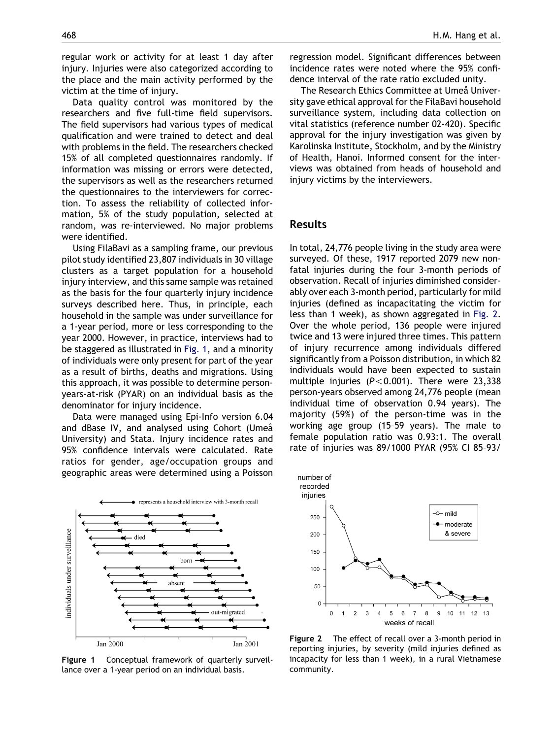regular work or activity for at least 1 day after injury. Injuries were also categorized according to the place and the main activity performed by the victim at the time of injury.

Data quality control was monitored by the researchers and five full-time field supervisors. The field supervisors had various types of medical qualification and were trained to detect and deal with problems in the field. The researchers checked 15% of all completed questionnaires randomly. If information was missing or errors were detected, the supervisors as well as the researchers returned the questionnaires to the interviewers for correction. To assess the reliability of collected information, 5% of the study population, selected at random, was re-interviewed. No major problems were identified.

Using FilaBavi as a sampling frame, our previous pilot study identified 23,807 individuals in 30 village clusters as a target population for a household injury interview, and this same sample was retained as the basis for the four quarterly injury incidence surveys described here. Thus, in principle, each household in the sample was under surveillance for a 1-year period, more or less corresponding to the year 2000. However, in practice, interviews had to be staggered as illustrated in [Fig. 1,](#page-2-0) and a minority of individuals were only present for part of the year as a result of births, deaths and migrations. Using this approach, it was possible to determine personyears-at-risk (PYAR) on an individual basis as the denominator for injury incidence.

Data were managed using Epi-Info version 6.04 and dBase IV, and analysed using Cohort (Umeå University) and Stata. Injury incidence rates and 95% confidence intervals were calculated. Rate ratios for gender, age/occupation groups and geographic areas were determined using a Poisson



<span id="page-2-0"></span>Figure 1 Conceptual framework of quarterly surveillance over a 1-year period on an individual basis.

regression model. Significant differences between incidence rates were noted where the 95% confidence interval of the rate ratio excluded unity.

The Research Ethics Committee at Umeå University gave ethical approval for the FilaBavi household surveillance system, including data collection on vital statistics (reference number 02-420). Specific approval for the injury investigation was given by Karolinska Institute, Stockholm, and by the Ministry of Health, Hanoi. Informed consent for the interviews was obtained from heads of household and injury victims by the interviewers.

#### Results

In total, 24,776 people living in the study area were surveyed. Of these, 1917 reported 2079 new nonfatal injuries during the four 3-month periods of observation. Recall of injuries diminished considerably over each 3-month period, particularly for mild injuries (defined as incapacitating the victim for less than 1 week), as shown aggregated in [Fig. 2.](#page-2-0) Over the whole period, 136 people were injured twice and 13 were injured three times. This pattern of injury recurrence among individuals differed significantly from a Poisson distribution, in which 82 individuals would have been expected to sustain multiple injuries ( $P < 0.001$ ). There were 23,338 person-years observed among 24,776 people (mean individual time of observation 0.94 years). The majority (59%) of the person-time was in the working age group (15–59 years). The male to female population ratio was 0.93:1. The overall rate of injuries was 89/1000 PYAR (95% CI 85–93/



Figure 2 The effect of recall over a 3-month period in reporting injuries, by severity (mild injuries defined as incapacity for less than 1 week), in a rural Vietnamese community.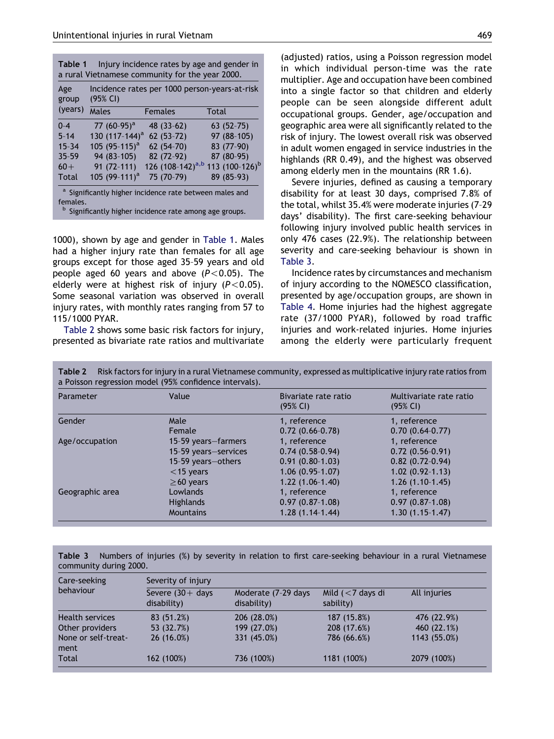| group     | (95% CI)                   | Incidence rates per 1000 person-years-at-risk |                            |
|-----------|----------------------------|-----------------------------------------------|----------------------------|
| (years)   | Males                      | <b>Females</b>                                | <b>Total</b>               |
| $0 - 4$   | 77 $(60-95)^a$             | 48 (33-62)                                    | $63(52-75)$                |
| $5 - 14$  | 130 (117-144) <sup>a</sup> | $62(53-72)$                                   | 97 (88-105)                |
| $15 - 34$ | 105 (95-115) <sup>a</sup>  | 62 (54-70)                                    | 83 (77-90)                 |
| $35 - 59$ | 94 (83-105)                | 82 (72-92)                                    | 87 (80-95)                 |
| $60+$     | $91(72-111)$               | 126 (108-142) <sup>a,b</sup>                  | 113 (100-126) <sup>b</sup> |
| Total     | 105 (99-111) <sup>a</sup>  | 75 (70-79)                                    | 89 (85-93)                 |

<sup>b</sup> Significantly higher incidence rate among age groups.

1000), shown by age and gender in [Table 1.](#page-3-0) Males had a higher injury rate than females for all age groups except for those aged 35–59 years and old people aged 60 years and above  $(P< 0.05)$ . The elderly were at highest risk of injury  $(P< 0.05)$ . Some seasonal variation was observed in overall injury rates, with monthly rates ranging from 57 to 115/1000 PYAR.

[Table 2](#page-3-0) shows some basic risk factors for injury, presented as bivariate rate ratios and multivariate

(adjusted) ratios, using a Poisson regression model in which individual person-time was the rate multiplier. Age and occupation have been combined into a single factor so that children and elderly people can be seen alongside different adult occupational groups. Gender, age/occupation and geographic area were all significantly related to the risk of injury. The lowest overall risk was observed in adult women engaged in service industries in the highlands (RR 0.49), and the highest was observed among elderly men in the mountains (RR 1.6).

Severe injuries, defined as causing a temporary disability for at least 30 days, comprised 7.8% of the total, whilst 35.4% were moderate injuries (7–29 days' disability). The first care-seeking behaviour following injury involved public health services in only 476 cases (22.9%). The relationship between severity and care-seeking behaviour is shown in [Table 3.](#page-3-0)

Incidence rates by circumstances and mechanism of injury according to the NOMESCO classification, presented by age/occupation groups, are shown in [Table 4.](#page-4-0) Home injuries had the highest aggregate rate (37/1000 PYAR), followed by road traffic injuries and work-related injuries. Home injuries among the elderly were particularly frequent

| Parameter       | Value                | Bivariate rate ratio<br>(95% CI) | Multivariate rate ratio<br>(95% CI) |  |
|-----------------|----------------------|----------------------------------|-------------------------------------|--|
| Gender          | Male                 | 1, reference                     | 1, reference                        |  |
|                 | Female               | $0.72(0.66-0.78)$                | $0.70(0.64-0.77)$                   |  |
| Age/occupation  | 15-59 years–farmers  | 1, reference                     | 1. reference                        |  |
|                 | 15-59 years-services | $0.74(0.58-0.94)$                | $0.72(0.56-0.91)$                   |  |
|                 | 15-59 years-others   | $0.91(0.80-1.03)$                | $0.82(0.72-0.94)$                   |  |
|                 | $<$ 15 years         | $1.06(0.95-1.07)$                | $1.02(0.92 - 1.13)$                 |  |
|                 | $\geq$ 60 years      | $1.22(1.06-1.40)$                | $1.26(1.10-1.45)$                   |  |
| Geographic area | Lowlands             | 1, reference                     | 1, reference                        |  |
|                 | <b>Highlands</b>     | $0.97(0.87-1.08)$                | $0.97(0.87-1.08)$                   |  |
|                 | <b>Mountains</b>     | $1.28(1.14-1.44)$                | $1.30(1.15-1.47)$                   |  |

Table 2 Risk factors for injury in a rural Vietnamese community, expressed as multiplicative injury rate ratios from a Poisson regression model (95% confidence intervals).

Table 3 Numbers of injuries (%) by severity in relation to first care-seeking behaviour in a rural Vietnamese community during 2000.

<span id="page-3-0"></span>

| Care-seeking<br>behaviour   | Severity of injury                 |                                    |                                  |              |  |
|-----------------------------|------------------------------------|------------------------------------|----------------------------------|--------------|--|
|                             | Severe $(30 +$ days<br>disability) | Moderate (7-29 days<br>disability) | Mild $(< 7$ days di<br>sability) | All injuries |  |
| <b>Health services</b>      | 83 (51.2%)                         | 206 (28.0%)                        | 187 (15.8%)                      | 476 (22.9%)  |  |
| Other providers             | 53 (32.7%)                         | 199 (27.0%)                        | 208 (17.6%)                      | 460 (22.1%)  |  |
| None or self-treat-<br>ment | 26(16.0%)                          | 331 (45.0%)                        | 786 (66.6%)                      | 1143 (55.0%) |  |
| Total                       | 162 (100%)                         | 736 (100%)                         | 1181 (100%)                      | 2079 (100%)  |  |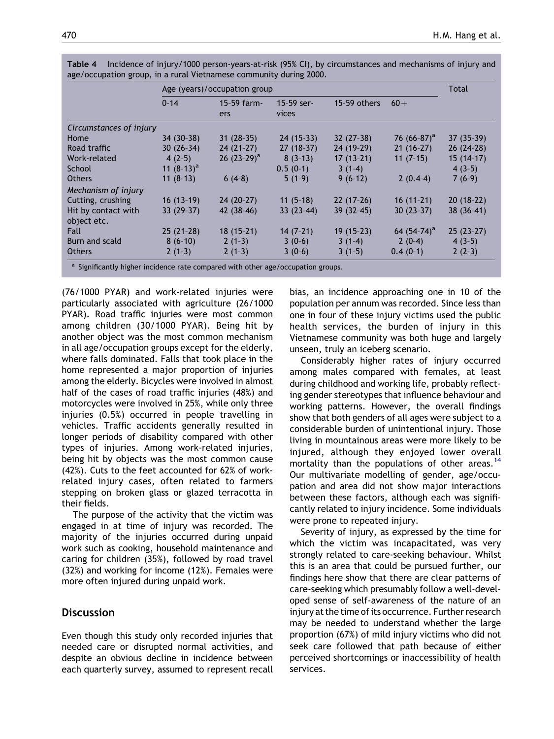|                         | Age (years)/occupation group |                    |                       |              | <b>Total</b>   |             |
|-------------------------|------------------------------|--------------------|-----------------------|--------------|----------------|-------------|
|                         | $0 - 14$                     | 15-59 farm-<br>ers | $15-59$ ser-<br>vices | 15-59 others | $60+$          |             |
| Circumstances of injury |                              |                    |                       |              |                |             |
| Home                    | $34(30-38)$                  | $31(28-35)$        | $24(15-33)$           | $32(27-38)$  | 76 $(66-87)^a$ | $37(35-39)$ |
| Road traffic            | $30(26-34)$                  | $24(21-27)$        | $27(18-37)$           | 24 (19-29)   | $21(16-27)$    | $26(24-28)$ |
| Work-related            | $4(2-5)$                     | 26 $(23-29)^a$     | $8(3-13)$             | $17(13-21)$  | $11(7-15)$     | $15(14-17)$ |
| School                  | 11 $(8-13)^a$                |                    | $0.5(0-1)$            | $3(1-4)$     |                | $4(3-5)$    |
| <b>Others</b>           | $11(8-13)$                   | $6(4-8)$           | $5(1-9)$              | $9(6-12)$    | $2(0.4-4)$     | $7(6-9)$    |
| Mechanism of injury     |                              |                    |                       |              |                |             |
| Cutting, crushing       | $16(13-19)$                  | $24(20-27)$        | $11(5-18)$            | $22(17-26)$  | $16(11-21)$    | $20(18-22)$ |
| Hit by contact with     | $33(29-37)$                  | $42(38-46)$        | $33(23-44)$           | $39(32-45)$  | $30(23-37)$    | 38 (36-41)  |
| object etc.             |                              |                    |                       |              |                |             |
| <b>Fall</b>             | $25(21-28)$                  | $18(15-21)$        | $14(7-21)$            | $19(15-23)$  | 64 $(54-74)^a$ | $25(23-27)$ |
| Burn and scald          | $8(6-10)$                    | $2(1-3)$           | $3(0-6)$              | $3(1-4)$     | $2(0-4)$       | $4(3-5)$    |
| <b>Others</b>           | $2(1-3)$                     | $2(1-3)$           | $3(0-6)$              | $3(1-5)$     | $0.4(0-1)$     | $2(2-3)$    |

Table 4 Incidence of injury/1000 person-years-at-risk (95% CI), by circumstances and mechanisms of injury and age/occupation group, in a rural Vietnamese community during 2000.

Significantly higher incidence rate compared with other age/occupation groups.

(76/1000 PYAR) and work-related injuries were particularly associated with agriculture (26/1000 PYAR). Road traffic injuries were most common among children (30/1000 PYAR). Being hit by another object was the most common mechanism in all age/occupation groups except for the elderly, where falls dominated. Falls that took place in the home represented a major proportion of injuries among the elderly. Bicycles were involved in almost half of the cases of road traffic injuries (48%) and motorcycles were involved in 25%, while only three injuries (0.5%) occurred in people travelling in vehicles. Traffic accidents generally resulted in longer periods of disability compared with other types of injuries. Among work-related injuries, being hit by objects was the most common cause (42%). Cuts to the feet accounted for 62% of workrelated injury cases, often related to farmers stepping on broken glass or glazed terracotta in their fields.

The purpose of the activity that the victim was engaged in at time of injury was recorded. The majority of the injuries occurred during unpaid work such as cooking, household maintenance and caring for children (35%), followed by road travel (32%) and working for income (12%). Females were more often injured during unpaid work.

# **Discussion**

<span id="page-4-0"></span>Even though this study only recorded injuries that needed care or disrupted normal activities, and despite an obvious decline in incidence between each quarterly survey, assumed to represent recall bias, an incidence approaching one in 10 of the population per annum was recorded. Since less than one in four of these injury victims used the public health services, the burden of injury in this Vietnamese community was both huge and largely unseen, truly an iceberg scenario.

Considerably higher rates of injury occurred among males compared with females, at least during childhood and working life, probably reflecting gender stereotypes that influence behaviour and working patterns. However, the overall findings show that both genders of all ages were subject to a considerable burden of unintentional injury. Those living in mountainous areas were more likely to be injured, although they enjoyed lower overall mortality than the populations of other areas.<sup>[14](#page-6-0)</sup> Our multivariate modelling of gender, age/occupation and area did not show major interactions between these factors, although each was significantly related to injury incidence. Some individuals were prone to repeated injury.

Severity of injury, as expressed by the time for which the victim was incapacitated, was very strongly related to care-seeking behaviour. Whilst this is an area that could be pursued further, our findings here show that there are clear patterns of care-seeking which presumably follow a well-developed sense of self-awareness of the nature of an injury at the time of its occurrence. Further research may be needed to understand whether the large proportion (67%) of mild injury victims who did not seek care followed that path because of either perceived shortcomings or inaccessibility of health services.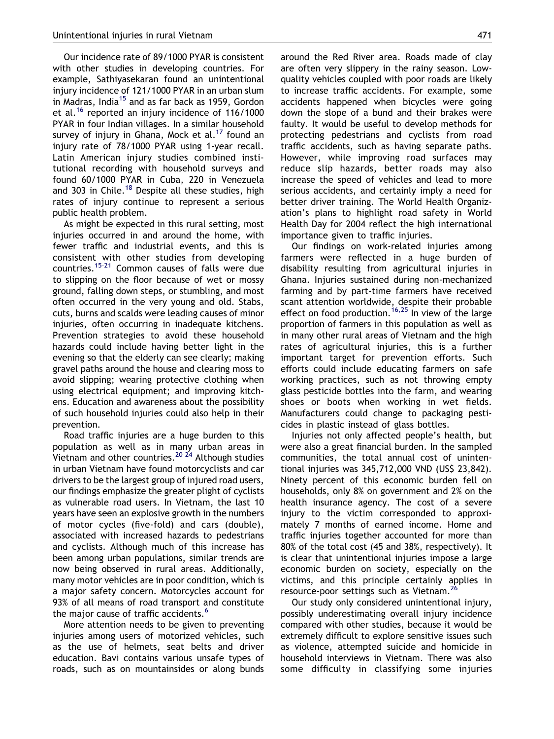Our incidence rate of 89/1000 PYAR is consistent with other studies in developing countries. For example, Sathiyasekaran found an unintentional injury incidence of 121/1000 PYAR in an urban slum in Madras, India<sup>[15](#page-6-0)</sup> and as far back as 1959, Gordon et al.[16](#page-6-0) reported an injury incidence of 116/1000 PYAR in four Indian villages. In a similar household survey of injury in Ghana, Mock et al.<sup>[17](#page-6-0)</sup> found an injury rate of 78/1000 PYAR using 1-year recall. Latin American injury studies combined institutional recording with household surveys and found 60/1000 PYAR in Cuba, 220 in Venezuela and 303 in Chile.<sup>[18](#page-6-0)</sup> Despite all these studies, high rates of injury continue to represent a serious public health problem.

As might be expected in this rural setting, most injuries occurred in and around the home, with fewer traffic and industrial events, and this is consistent with other studies from developing countries.[15–21](#page-6-0) Common causes of falls were due to slipping on the floor because of wet or mossy ground, falling down steps, or stumbling, and most often occurred in the very young and old. Stabs, cuts, burns and scalds were leading causes of minor injuries, often occurring in inadequate kitchens. Prevention strategies to avoid these household hazards could include having better light in the evening so that the elderly can see clearly; making gravel paths around the house and clearing moss to avoid slipping; wearing protective clothing when using electrical equipment; and improving kitchens. Education and awareness about the possibility of such household injuries could also help in their prevention.

Road traffic injuries are a huge burden to this population as well as in many urban areas in Vietnam and other countries.<sup>20-24</sup> Although studies in urban Vietnam have found motorcyclists and car drivers to be the largest group of injured road users, our findings emphasize the greater plight of cyclists as vulnerable road users. In Vietnam, the last 10 years have seen an explosive growth in the numbers of motor cycles (five-fold) and cars (double), associated with increased hazards to pedestrians and cyclists. Although much of this increase has been among urban populations, similar trends are now being observed in rural areas. Additionally, many motor vehicles are in poor condition, which is a major safety concern. Motorcycles account for 93% of all means of road transport and constitute the major cause of traffic accidents.<sup>[6](#page-6-0)</sup>

More attention needs to be given to preventing injuries among users of motorized vehicles, such as the use of helmets, seat belts and driver education. Bavi contains various unsafe types of roads, such as on mountainsides or along bunds around the Red River area. Roads made of clay are often very slippery in the rainy season. Lowquality vehicles coupled with poor roads are likely to increase traffic accidents. For example, some accidents happened when bicycles were going down the slope of a bund and their brakes were faulty. It would be useful to develop methods for protecting pedestrians and cyclists from road traffic accidents, such as having separate paths. However, while improving road surfaces may reduce slip hazards, better roads may also increase the speed of vehicles and lead to more serious accidents, and certainly imply a need for better driver training. The World Health Organization's plans to highlight road safety in World Health Day for 2004 reflect the high international importance given to traffic injuries.

Our findings on work-related injuries among farmers were reflected in a huge burden of disability resulting from agricultural injuries in Ghana. Injuries sustained during non-mechanized farming and by part-time farmers have received scant attention worldwide, despite their probable effect on food production.<sup>[16,25](#page-6-0)</sup> In view of the large proportion of farmers in this population as well as in many other rural areas of Vietnam and the high rates of agricultural injuries, this is a further important target for prevention efforts. Such efforts could include educating farmers on safe working practices, such as not throwing empty glass pesticide bottles into the farm, and wearing shoes or boots when working in wet fields. Manufacturers could change to packaging pesticides in plastic instead of glass bottles.

Injuries not only affected people's health, but were also a great financial burden. In the sampled communities, the total annual cost of unintentional injuries was 345,712,000 VND (US\$ 23,842). Ninety percent of this economic burden fell on households, only 8% on government and 2% on the health insurance agency. The cost of a severe injury to the victim corresponded to approximately 7 months of earned income. Home and traffic injuries together accounted for more than 80% of the total cost (45 and 38%, respectively). It is clear that unintentional injuries impose a large economic burden on society, especially on the victims, and this principle certainly applies in resource-poor settings such as Vietnam.<sup>2</sup>

Our study only considered unintentional injury, possibly underestimating overall injury incidence compared with other studies, because it would be extremely difficult to explore sensitive issues such as violence, attempted suicide and homicide in household interviews in Vietnam. There was also some difficulty in classifying some injuries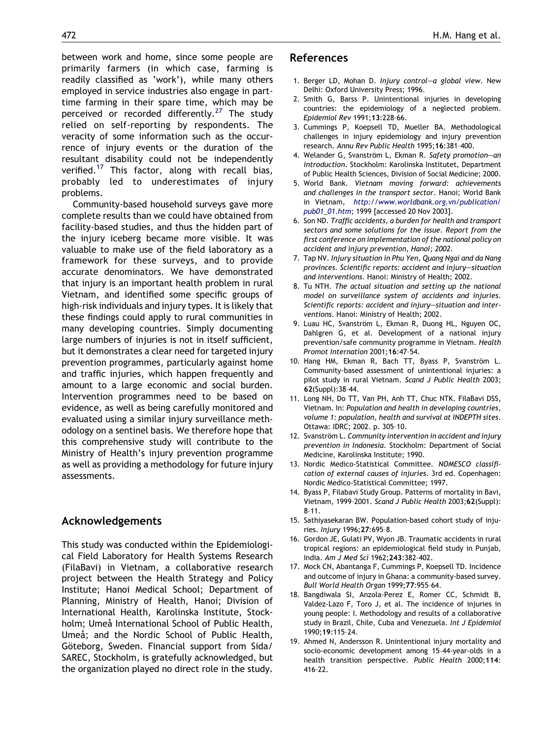between work and home, since some people are primarily farmers (in which case, farming is readily classified as 'work'), while many others employed in service industries also engage in parttime farming in their spare time, which may be perceived or recorded differently.<sup>[27](#page-7-0)</sup> The study relied on self-reporting by respondents. The veracity of some information such as the occurrence of injury events or the duration of the resultant disability could not be independently verified.<sup>[17](#page-6-0)</sup> This factor, along with recall bias, probably led to underestimates of injury problems.

Community-based household surveys gave more complete results than we could have obtained from facility-based studies, and thus the hidden part of the injury iceberg became more visible. It was valuable to make use of the field laboratory as a framework for these surveys, and to provide accurate denominators. We have demonstrated that injury is an important health problem in rural Vietnam, and identified some specific groups of high-risk individuals and injury types. It is likely that these findings could apply to rural communities in many developing countries. Simply documenting large numbers of injuries is not in itself sufficient, but it demonstrates a clear need for targeted injury prevention programmes, particularly against home and traffic injuries, which happen frequently and amount to a large economic and social burden. Intervention programmes need to be based on evidence, as well as being carefully monitored and evaluated using a similar injury surveillance methodology on a sentinel basis. We therefore hope that this comprehensive study will contribute to the Ministry of Health's injury prevention programme as well as providing a methodology for future injury assessments.

# Acknowledgements

<span id="page-6-0"></span>This study was conducted within the Epidemiological Field Laboratory for Health Systems Research (FilaBavi) in Vietnam, a collaborative research project between the Health Strategy and Policy Institute; Hanoi Medical School; Department of Planning, Ministry of Health, Hanoi; Division of International Health, Karolinska Institute, Stockholm; Umeå International School of Public Health, Umeå; and the Nordic School of Public Health, Göteborg, Sweden. Financial support from Sida/ SAREC, Stockholm, is gratefully acknowledged, but the organization played no direct role in the study.

## References

- 1. Berger LD, Mohan D. Injury control—a global view. New Delhi: Oxford University Press; 1996.
- 2. Smith G, Barss P. Unintentional injuries in developing countries: the epidemiology of a neglected problem. Epidemiol Rev 1991;13:228–66.
- 3. Cummings P, Koepsell TD, Mueller BA. Methodological challenges in injury epidemiology and injury prevention research. Annu Rev Public Health 1995;16:381–400.
- 4. Welander G, Svanström L, Ekman R, Safety promotion-an introduction. Stockholm: Karolinska Institutet, Department of Public Health Sciences, Division of Social Medicine; 2000.
- 5. World Bank. Vietnam moving forward: achievements and challenges in the transport sector. Hanoi; World Bank in Vietnam, [http://www.worldbank.org.vn/publication/](http://www.worldbank.org.vn/publication/pub01_01.htm) [pub01\\_01.htm](http://www.worldbank.org.vn/publication/pub01_01.htm); 1999 [accessed 20 Nov 2003].
- 6. Son ND. Traffic accidents, a burden for health and transport sectors and some solutions for the issue. Report from the first conference on implementation of the national policy on accident and injury prevention, Hanoi; 2002.
- 7. Tap NV. Injury situation in Phu Yen, Quang Ngai and da Nang provinces. Scientific reports: accident and injury—situation and interventions. Hanoi: Ministry of Health; 2002.
- 8. Tu NTH. The actual situation and setting up the national model on surveillance system of accidents and injuries. Scientific reports: accident and injury—situation and interventions. Hanoi: Ministry of Health; 2002.
- 9. Luau HC, Svanström L, Ekman R, Duong HL, Nguyen OC, Dahlgren G, et al. Development of a national injury prevention/safe community programme in Vietnam. Health Promot Internation 2001;16:47–54.
- 10. Hang HM, Ekman R, Bach TT, Byass P, Svanström L. Community-based assessment of unintentional injuries: a pilot study in rural Vietnam. Scand J Public Health 2003; 62(Suppl):38–44.
- 11. Long NH, Do TT, Van PH, Anh TT, Chuc NTK. FilaBavi DSS, Vietnam. In: Population and health in developing countries, volume 1: population, health and survival at INDEPTH sites. Ottawa: IDRC; 2002. p. 305–10.
- 12. Svanström L. Community intervention in accident and injury prevention in Indonesia. Stockholm: Department of Social Medicine, Karolinska Institute; 1990.
- 13. Nordic Medico-Statistical Committee. NOMESCO classification of external causes of injuries. 3rd ed. Copenhagen: Nordic Medico-Statistical Committee; 1997.
- 14. Byass P, Filabavi Study Group. Patterns of mortality in Bavi, Vietnam, 1999–2001. Scand J Public Health 2003;62(Suppl): 8–11.
- 15. Sathiyasekaran BW. Population-based cohort study of injuries. Injury 1996;27:695–8.
- 16. Gordon JE, Gulati PV, Wyon JB. Traumatic accidents in rural tropical regions: an epidemiological field study in Punjab, India. Am J Med Sci 1962;243:382–402.
- 17. Mock CN, Abantanga F, Cummings P, Koepsell TD. Incidence and outcome of injury in Ghana: a community-based survey. Bull World Health Organ 1999;77:955–64.
- 18. Bangdiwala SI, Anzola-Perez E, Romer CC, Schmidt B, Valdez-Lazo F, Toro J, et al. The incidence of injuries in young people: I. Methodology and results of a collaborative study in Brazil, Chile, Cuba and Venezuela. Int J Epidemiol 1990;19:115–24.
- 19. Ahmed N, Andersson R. Unintentional injury mortality and socio-economic development among 15–44-year-olds in a health transition perspective. Public Health 2000;114: 416–22.